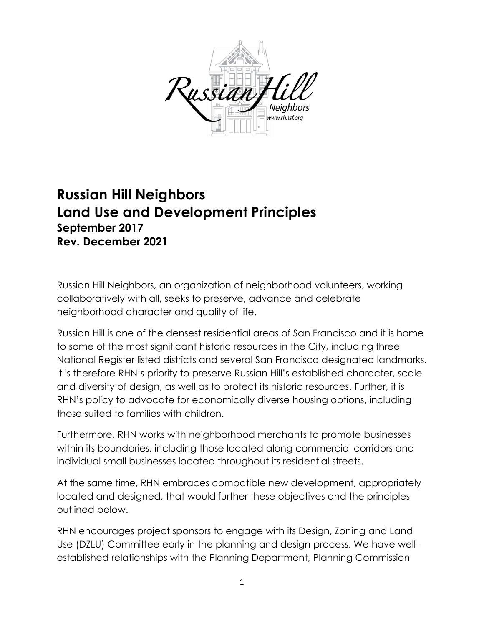

# **Russian Hill Neighbors Land Use and Development Principles September 2017 Rev. December 2021**

Russian Hill Neighbors, an organization of neighborhood volunteers, working collaboratively with all, seeks to preserve, advance and celebrate neighborhood character and quality of life.

Russian Hill is one of the densest residential areas of San Francisco and it is home to some of the most significant historic resources in the City, including three National Register listed districts and several San Francisco designated landmarks. It is therefore RHN's priority to preserve Russian Hill's established character, scale and diversity of design, as well as to protect its historic resources. Further, it is RHN's policy to advocate for economically diverse housing options, including those suited to families with children.

Furthermore, RHN works with neighborhood merchants to promote businesses within its boundaries, including those located along commercial corridors and individual small businesses located throughout its residential streets.

At the same time, RHN embraces compatible new development, appropriately located and designed, that would further these objectives and the principles outlined below.

RHN encourages project sponsors to engage with its Design, Zoning and Land Use (DZLU) Committee early in the planning and design process. We have wellestablished relationships with the Planning Department, Planning Commission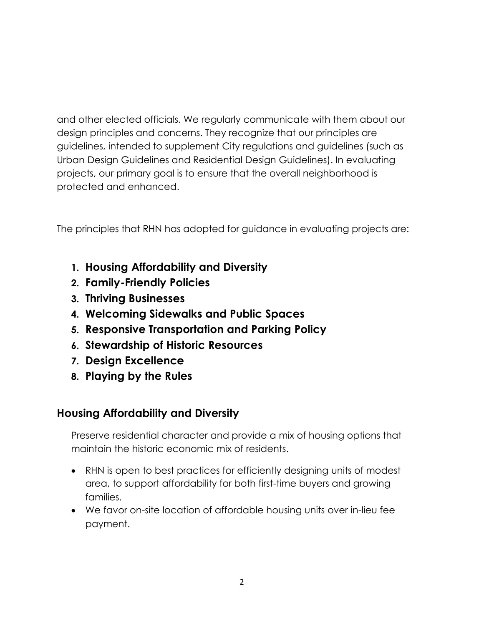and other elected officials. We regularly communicate with them about our design principles and concerns. They recognize that our principles are guidelines, intended to supplement City regulations and guidelines (such as Urban Design Guidelines and Residential Design Guidelines). In evaluating projects, our primary goal is to ensure that the overall neighborhood is protected and enhanced.

The principles that RHN has adopted for guidance in evaluating projects are:

- **1. Housing Affordability and Diversity**
- **2. Family-Friendly Policies**
- **3. Thriving Businesses**
- **4. Welcoming Sidewalks and Public Spaces**
- **5. Responsive Transportation and Parking Policy**
- **6. Stewardship of Historic Resources**
- **7. Design Excellence**
- **8. Playing by the Rules**

#### **Housing Affordability and Diversity**

Preserve residential character and provide a mix of housing options that maintain the historic economic mix of residents.

- RHN is open to best practices for efficiently designing units of modest area, to support affordability for both first-time buyers and growing families.
- We favor on-site location of affordable housing units over in-lieu fee payment.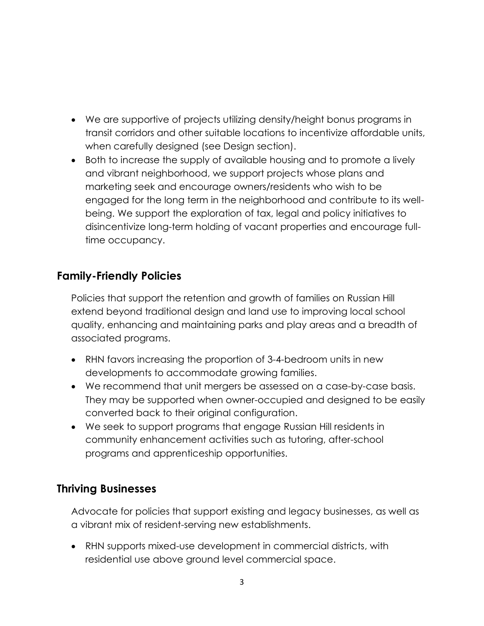- We are supportive of projects utilizing density/height bonus programs in transit corridors and other suitable locations to incentivize affordable units, when carefully designed (see Design section).
- Both to increase the supply of available housing and to promote a lively and vibrant neighborhood, we support projects whose plans and marketing seek and encourage owners/residents who wish to be engaged for the long term in the neighborhood and contribute to its wellbeing. We support the exploration of tax, legal and policy initiatives to disincentivize long-term holding of vacant properties and encourage fulltime occupancy.

### **Family-Friendly Policies**

Policies that support the retention and growth of families on Russian Hill extend beyond traditional design and land use to improving local school quality, enhancing and maintaining parks and play areas and a breadth of associated programs.

- RHN favors increasing the proportion of 3-4-bedroom units in new developments to accommodate growing families.
- We recommend that unit mergers be assessed on a case-by-case basis. They may be supported when owner-occupied and designed to be easily converted back to their original configuration.
- We seek to support programs that engage Russian Hill residents in community enhancement activities such as tutoring, after-school programs and apprenticeship opportunities.

#### **Thriving Businesses**

Advocate for policies that support existing and legacy businesses, as well as a vibrant mix of resident-serving new establishments.

• RHN supports mixed-use development in commercial districts, with residential use above ground level commercial space.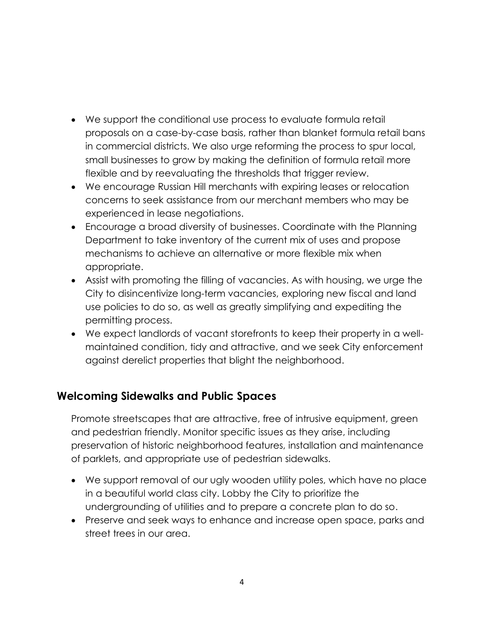- We support the conditional use process to evaluate formula retail proposals on a case-by-case basis, rather than blanket formula retail bans in commercial districts. We also urge reforming the process to spur local, small businesses to grow by making the definition of formula retail more flexible and by reevaluating the thresholds that trigger review.
- We encourage Russian Hill merchants with expiring leases or relocation concerns to seek assistance from our merchant members who may be experienced in lease negotiations.
- Encourage a broad diversity of businesses. Coordinate with the Planning Department to take inventory of the current mix of uses and propose mechanisms to achieve an alternative or more flexible mix when appropriate.
- Assist with promoting the filling of vacancies. As with housing, we urge the City to disincentivize long-term vacancies, exploring new fiscal and land use policies to do so, as well as greatly simplifying and expediting the permitting process.
- We expect landlords of vacant storefronts to keep their property in a wellmaintained condition, tidy and attractive, and we seek City enforcement against derelict properties that blight the neighborhood.

#### **Welcoming Sidewalks and Public Spaces**

Promote streetscapes that are attractive, free of intrusive equipment, green and pedestrian friendly. Monitor specific issues as they arise, including preservation of historic neighborhood features, installation and maintenance of parklets, and appropriate use of pedestrian sidewalks.

- We support removal of our ugly wooden utility poles, which have no place in a beautiful world class city. Lobby the City to prioritize the undergrounding of utilities and to prepare a concrete plan to do so.
- Preserve and seek ways to enhance and increase open space, parks and street trees in our area.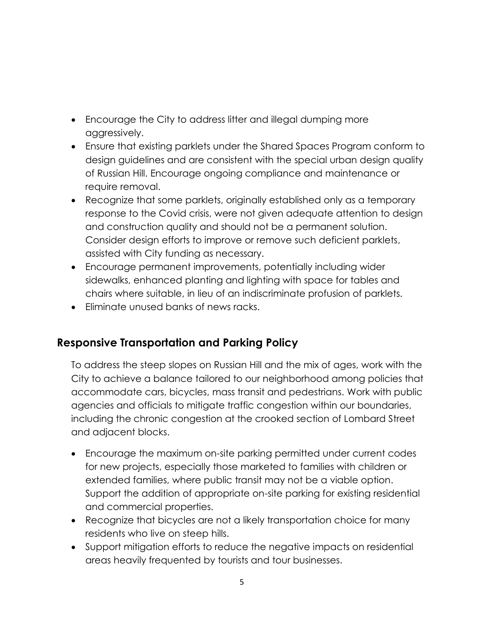- Encourage the City to address litter and illegal dumping more aggressively.
- Ensure that existing parklets under the Shared Spaces Program conform to design guidelines and are consistent with the special urban design quality of Russian Hill. Encourage ongoing compliance and maintenance or require removal.
- Recognize that some parklets, originally established only as a temporary response to the Covid crisis, were not given adequate attention to design and construction quality and should not be a permanent solution. Consider design efforts to improve or remove such deficient parklets, assisted with City funding as necessary.
- Encourage permanent improvements, potentially including wider sidewalks, enhanced planting and lighting with space for tables and chairs where suitable, in lieu of an indiscriminate profusion of parklets.
- Eliminate unused banks of news racks.

# **Responsive Transportation and Parking Policy**

To address the steep slopes on Russian Hill and the mix of ages, work with the City to achieve a balance tailored to our neighborhood among policies that accommodate cars, bicycles, mass transit and pedestrians. Work with public agencies and officials to mitigate traffic congestion within our boundaries, including the chronic congestion at the crooked section of Lombard Street and adjacent blocks.

- Encourage the maximum on-site parking permitted under current codes for new projects, especially those marketed to families with children or extended families, where public transit may not be a viable option. Support the addition of appropriate on-site parking for existing residential and commercial properties.
- Recognize that bicycles are not a likely transportation choice for many residents who live on steep hills.
- Support mitigation efforts to reduce the negative impacts on residential areas heavily frequented by tourists and tour businesses.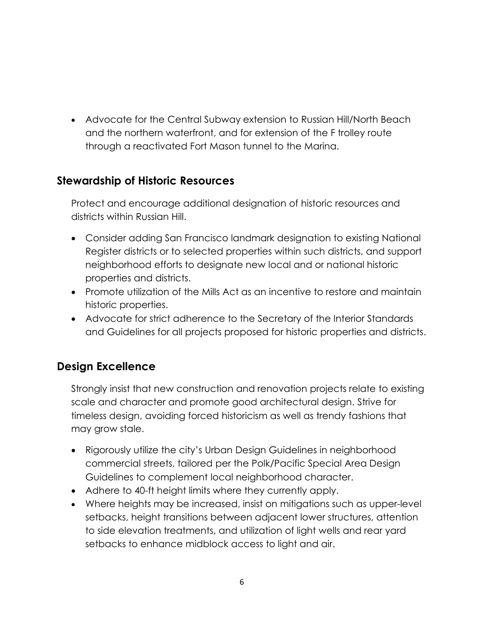• Advocate for the Central Subway extension to Russian Hill/North Beach and the northern waterfront, and for extension of the F trolley route through a reactivated Fort Mason tunnel to the Marina.

#### **Stewardship of Historic Resources**

Protect and encourage additional designation of historic resources and districts within Russian Hill.

- Consider adding San Francisco landmark designation to existing National Register districts or to selected properties within such districts, and support neighborhood efforts to designate new local and or national historic properties and districts.
- Promote utilization of the Mills Act as an incentive to restore and maintain historic properties.
- Advocate for strict adherence to the Secretary of the Interior Standards and Guidelines for all projects proposed for historic properties and districts.

#### **Design Excellence**

Strongly insist that new construction and renovation projects relate to existing scale and character and promote good architectural design. Strive for timeless design, avoiding forced historicism as well as trendy fashions that may grow stale.

- Rigorously utilize the city's Urban Design Guidelines in neighborhood commercial streets, tailored per the Polk/Pacific Special Area Design Guidelines to complement local neighborhood character.
- Adhere to 40-ft height limits where they currently apply.
- Where heights may be increased, insist on mitigations such as upper-level setbacks, height transitions between adjacent lower structures, attention to side elevation treatments, and utilization of light wells and rear yard setbacks to enhance midblock access to light and air.